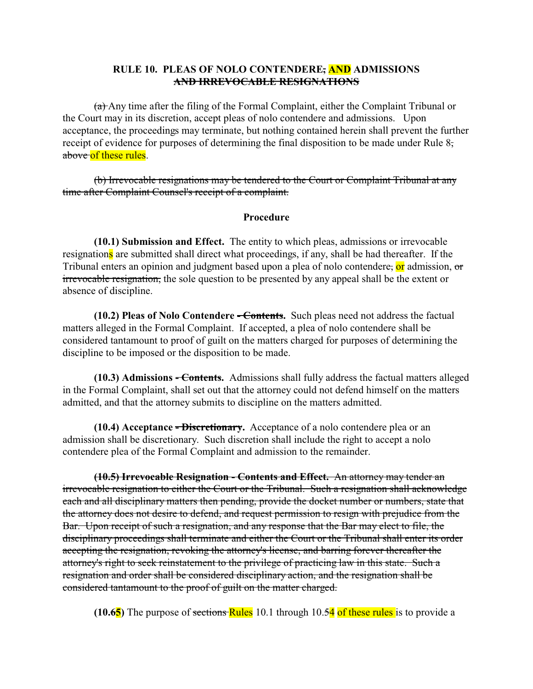### **RULE 10. PLEAS OF NOLO CONTENDERE, AND ADMISSIONS AND IRREVOCABLE RESIGNATIONS**

 $(a)$  Any time after the filing of the Formal Complaint, either the Complaint Tribunal or the Court may in its discretion, accept pleas of nolo contendere and admissions. Upon acceptance, the proceedings may terminate, but nothing contained herein shall prevent the further receipt of evidence for purposes of determining the final disposition to be made under Rule 8, above of these rules.

(b) Irrevocable resignations may be tendered to the Court or Complaint Tribunal at any time after Complaint Counsel's receipt of a complaint.

#### **Procedure**

**(10.1) Submission and Effect.** The entity to which pleas, admissions or irrevocable resignations are submitted shall direct what proceedings, if any, shall be had thereafter. If the Tribunal enters an opinion and judgment based upon a plea of nolo contendere, or admission, or irrevocable resignation, the sole question to be presented by any appeal shall be the extent or absence of discipline.

**(10.2) Pleas of Nolo Contendere - Contents.** Such pleas need not address the factual matters alleged in the Formal Complaint. If accepted, a plea of nolo contendere shall be considered tantamount to proof of guilt on the matters charged for purposes of determining the discipline to be imposed or the disposition to be made.

**(10.3) Admissions - Contents.** Admissions shall fully address the factual matters alleged in the Formal Complaint, shall set out that the attorney could not defend himself on the matters admitted, and that the attorney submits to discipline on the matters admitted.

**(10.4) Acceptance - Discretionary.** Acceptance of a nolo contendere plea or an admission shall be discretionary. Such discretion shall include the right to accept a nolo contendere plea of the Formal Complaint and admission to the remainder.

**(10.5) Irrevocable Resignation - Contents and Effect.** An attorney may tender an irrevocable resignation to either the Court or the Tribunal. Such a resignation shall acknowledge each and all disciplinary matters then pending, provide the docket number or numbers, state that the attorney does not desire to defend, and request permission to resign with prejudice from the Bar. Upon receipt of such a resignation, and any response that the Bar may elect to file, the disciplinary proceedings shall terminate and either the Court or the Tribunal shall enter its order accepting the resignation, revoking the attorney's license, and barring forever thereafter the attorney's right to seek reinstatement to the privilege of practicing law in this state. Such a resignation and order shall be considered disciplinary action, and the resignation shall be considered tantamount to the proof of guilt on the matter charged.

**(10.65)** The purpose of sections Rules 10.1 through 10.54 of these rules is to provide a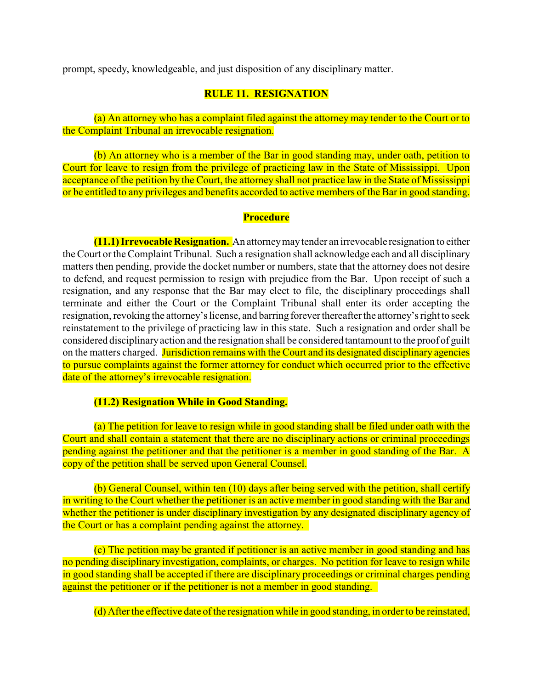prompt, speedy, knowledgeable, and just disposition of any disciplinary matter.

## **RULE 11. RESIGNATION**

(a) An attorney who has a complaint filed against the attorney may tender to the Court or to the Complaint Tribunal an irrevocable resignation.

(b) An attorney who is a member of the Bar in good standing may, under oath, petition to Court for leave to resign from the privilege of practicing law in the State of Mississippi. Upon acceptance of the petition by the Court, the attorney shall not practice law in the State of Mississippi or be entitled to any privileges and benefits accorded to active members of the Bar in good standing.

#### **Procedure**

**(11.1) Irrevocable Resignation.** An attorneymaytender an irrevocable resignation to either the Court or the Complaint Tribunal. Such a resignation shall acknowledge each and all disciplinary matters then pending, provide the docket number or numbers, state that the attorney does not desire to defend, and request permission to resign with prejudice from the Bar. Upon receipt of such a resignation, and any response that the Bar may elect to file, the disciplinary proceedings shall terminate and either the Court or the Complaint Tribunal shall enter its order accepting the resignation, revoking the attorney's license, and barring forever thereafter the attorney's right to seek reinstatement to the privilege of practicing law in this state. Such a resignation and order shall be considered disciplinaryaction and the resignation shall be considered tantamount to the proof of guilt on the matters charged. Jurisdiction remains with the Court and its designated disciplinary agencies to pursue complaints against the former attorney for conduct which occurred prior to the effective date of the attorney's irrevocable resignation.

### **(11.2) Resignation While in Good Standing.**

(a) The petition for leave to resign while in good standing shall be filed under oath with the Court and shall contain a statement that there are no disciplinary actions or criminal proceedings pending against the petitioner and that the petitioner is a member in good standing of the Bar. A copy of the petition shall be served upon General Counsel.

(b) General Counsel, within ten (10) days after being served with the petition, shall certify in writing to the Court whether the petitioner is an active member in good standing with the Bar and whether the petitioner is under disciplinary investigation by any designated disciplinary agency of the Court or has a complaint pending against the attorney.

(c) The petition may be granted if petitioner is an active member in good standing and has no pending disciplinary investigation, complaints, or charges. No petition for leave to resign while in good standing shall be accepted if there are disciplinary proceedings or criminal charges pending against the petitioner or if the petitioner is not a member in good standing.

(d) After the effective date of the resignation while in good standing, in order to be reinstated,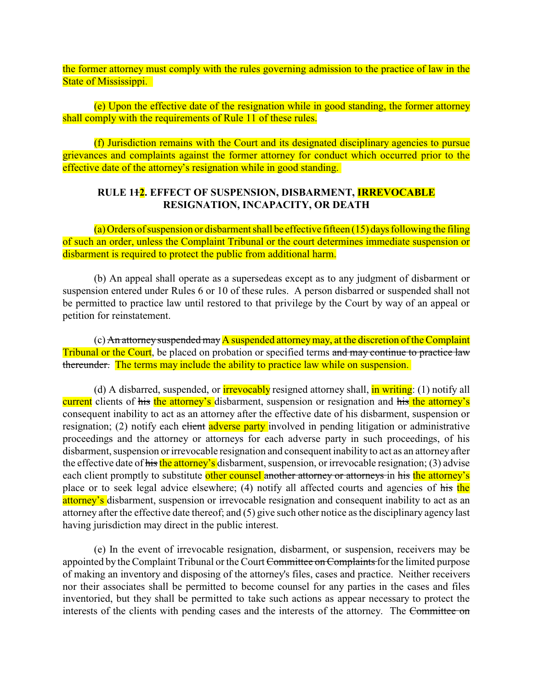the former attorney must comply with the rules governing admission to the practice of law in the State of Mississippi.

(e) Upon the effective date of the resignation while in good standing, the former attorney shall comply with the requirements of Rule 11 of these rules.

(f) Jurisdiction remains with the Court and its designated disciplinary agencies to pursue grievances and complaints against the former attorney for conduct which occurred prior to the effective date of the attorney's resignation while in good standing.

# **RULE 112. EFFECT OF SUSPENSION, DISBARMENT, IRREVOCABLE RESIGNATION, INCAPACITY, OR DEATH**

(a) Orders of suspension or disbarment shall be effective fifteen (15) days following the filing of such an order, unless the Complaint Tribunal or the court determines immediate suspension or disbarment is required to protect the public from additional harm.

(b) An appeal shall operate as a supersedeas except as to any judgment of disbarment or suspension entered under Rules 6 or 10 of these rules. A person disbarred or suspended shall not be permitted to practice law until restored to that privilege by the Court by way of an appeal or petition for reinstatement.

(c) An attorney suspended may A suspended attorney may, at the discretion of the Complaint Tribunal or the Court, be placed on probation or specified terms and may continue to practice law thereunder. The terms may include the ability to practice law while on suspension.

(d) A disbarred, suspended, or **irrevocably** resigned attorney shall, **in writing**: (1) notify all current clients of his the attorney's disbarment, suspension or resignation and his the attorney's consequent inability to act as an attorney after the effective date of his disbarment, suspension or resignation; (2) notify each client adverse party involved in pending litigation or administrative proceedings and the attorney or attorneys for each adverse party in such proceedings, of his disbarment, suspension or irrevocable resignation and consequent inability to act as an attorney after the effective date of his the attorney's disbarment, suspension, or irrevocable resignation; (3) advise each client promptly to substitute other counsel another attorney or attorneys in his the attorney's place or to seek legal advice elsewhere; (4) notify all affected courts and agencies of his the attorney's disbarment, suspension or irrevocable resignation and consequent inability to act as an attorney after the effective date thereof; and (5) give such other notice as the disciplinary agency last having jurisdiction may direct in the public interest.

(e) In the event of irrevocable resignation, disbarment, or suspension, receivers may be appointed by the Complaint Tribunal or the Court Committee on Complaints for the limited purpose of making an inventory and disposing of the attorney's files, cases and practice. Neither receivers nor their associates shall be permitted to become counsel for any parties in the cases and files inventoried, but they shall be permitted to take such actions as appear necessary to protect the interests of the clients with pending cases and the interests of the attorney. The Committee on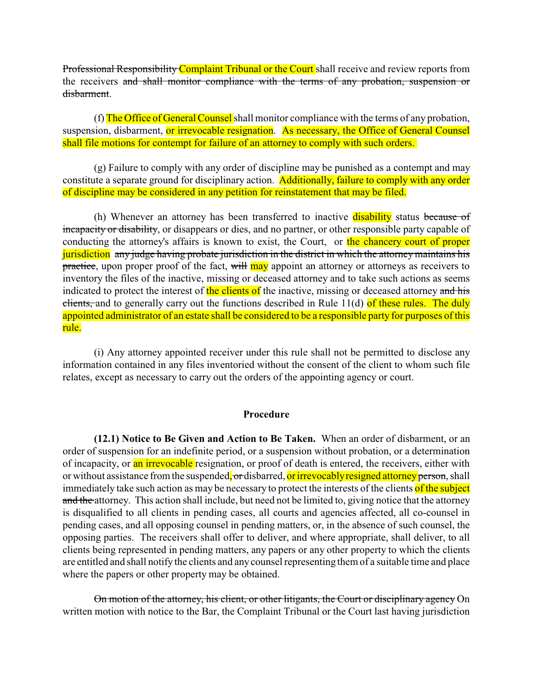Professional Responsibility Complaint Tribunal or the Court shall receive and review reports from the receivers and shall monitor compliance with the terms of any probation, suspension or disbarment.

(f) The Office of General Counsel shall monitor compliance with the terms of any probation, suspension, disbarment, or irrevocable resignation. As necessary, the Office of General Counsel shall file motions for contempt for failure of an attorney to comply with such orders.

(g) Failure to comply with any order of discipline may be punished as a contempt and may constitute a separate ground for disciplinary action. Additionally, failure to comply with any order of discipline may be considered in any petition for reinstatement that may be filed.

(h) Whenever an attorney has been transferred to inactive disability status because of incapacity or disability, or disappears or dies, and no partner, or other responsible party capable of conducting the attorney's affairs is known to exist, the Court, or the chancery court of proper jurisdiction any judge having probate jurisdiction in the district in which the attorney maintains his practice, upon proper proof of the fact, will may appoint an attorney or attorneys as receivers to inventory the files of the inactive, missing or deceased attorney and to take such actions as seems indicated to protect the interest of the clients of the inactive, missing or deceased attorney and his clients, and to generally carry out the functions described in Rule  $11(d)$  of these rules. The duly appointed administrator of an estate shall be considered to be a responsible party for purposes of this rule.

(i) Any attorney appointed receiver under this rule shall not be permitted to disclose any information contained in any files inventoried without the consent of the client to whom such file relates, except as necessary to carry out the orders of the appointing agency or court.

#### **Procedure**

**(12.1) Notice to Be Given and Action to Be Taken.** When an order of disbarment, or an order of suspension for an indefinite period, or a suspension without probation, or a determination of incapacity, or an irrevocable resignation, or proof of death is entered, the receivers, either with or without assistance from the suspended, or disbarred, or irrevocably resigned attorney person, shall immediately take such action as may be necessary to protect the interests of the clients of the subject and the attorney. This action shall include, but need not be limited to, giving notice that the attorney is disqualified to all clients in pending cases, all courts and agencies affected, all co-counsel in pending cases, and all opposing counsel in pending matters, or, in the absence of such counsel, the opposing parties. The receivers shall offer to deliver, and where appropriate, shall deliver, to all clients being represented in pending matters, any papers or any other property to which the clients are entitled and shall notify the clients and any counsel representing them of a suitable time and place where the papers or other property may be obtained.

On motion of the attorney, his client, or other litigants, the Court or disciplinary agency On written motion with notice to the Bar, the Complaint Tribunal or the Court last having jurisdiction